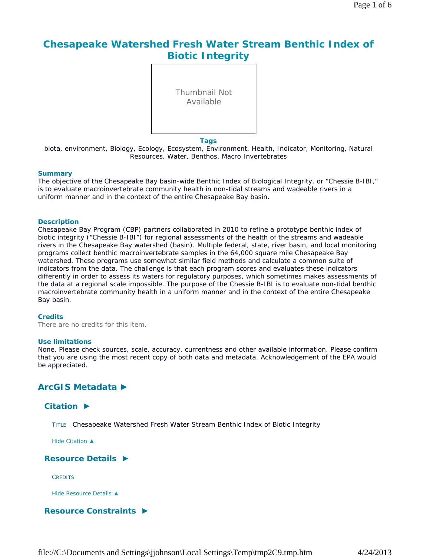# **Chesapeake Watershed Fresh Water Stream Benthic Index of Biotic Integrity**

Thumbnail Not Available

**Tags**

biota, environment, Biology, Ecology, Ecosystem, Environment, Health, Indicator, Monitoring, Natural Resources, Water, Benthos, Macro Invertebrates

#### **Summary**

The objective of the Chesapeake Bay basin-wide Benthic Index of Biological Integrity, or "Chessie B-IBI," is to evaluate macroinvertebrate community health in non-tidal streams and wadeable rivers in a uniform manner and in the context of the entire Chesapeake Bay basin.

#### **Description**

Chesapeake Bay Program (CBP) partners collaborated in 2010 to refine a prototype benthic index of biotic integrity ("Chessie B-IBI") for regional assessments of the health of the streams and wadeable rivers in the Chesapeake Bay watershed (basin). Multiple federal, state, river basin, and local monitoring programs collect benthic macroinvertebrate samples in the 64,000 square mile Chesapeake Bay watershed. These programs use somewhat similar field methods and calculate a common suite of indicators from the data. The challenge is that each program scores and evaluates these indicators differently in order to assess its waters for regulatory purposes, which sometimes makes assessments of the data at a regional scale impossible. The purpose of the Chessie B-IBI is to evaluate non-tidal benthic macroinvertebrate community health in a uniform manner and in the context of the entire Chesapeake Bay basin.

#### **Credits**

There are no credits for this item.

#### **Use limitations**

None. Please check sources, scale, accuracy, currentness and other available information. Please confirm that you are using the most recent copy of both data and metadata. Acknowledgement of the EPA would be appreciated.

## **ArcGIS Metadata ►**

## **Citation ►**

TITLE Chesapeake Watershed Fresh Water Stream Benthic Index of Biotic Integrity

*Hide Citation ▲*

## **Resource Details ►**

**CREDITS** 

*Hide Resource Details ▲*

## **Resource Constraints ►**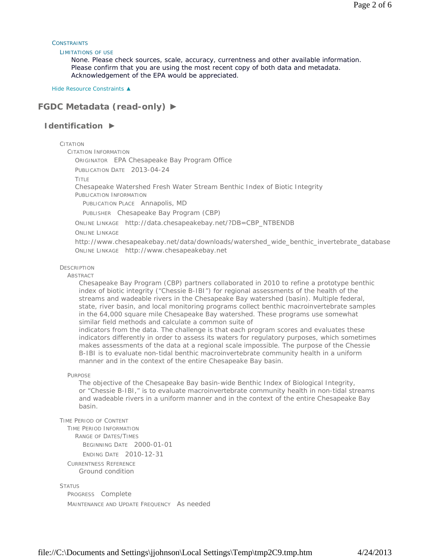#### **CONSTRAINTS**

#### LIMITATIONS OF USE

None. Please check sources, scale, accuracy, currentness and other available information. Please confirm that you are using the most recent copy of both data and metadata. Acknowledgement of the EPA would be appreciated.

*Hide Resource Constraints ▲*

# **FGDC Metadata (read-only) ►**

## **Identification ►**

CITATION

CITATION INFORMATION

ORIGINATOR EPA Chesapeake Bay Program Office

PUBLICATION DATE 2013-04-24

TITLE

Chesapeake Watershed Fresh Water Stream Benthic Index of Biotic Integrity

PUBLICATION INFORMATION

PUBLICATION PLACE Annapolis, MD

PUBLISHER Chesapeake Bay Program (CBP)

ONLINE LINKAGE http://data.chesapeakebay.net/?DB=CBP\_NTBENDB

ONLINE LINKAGE

http://www.chesapeakebay.net/data/downloads/watershed\_wide\_benthic\_invertebrate\_database ONLINE LINKAGE http://www.chesapeakebay.net

### **DESCRIPTION**

ABSTRACT

Chesapeake Bay Program (CBP) partners collaborated in 2010 to refine a prototype benthic index of biotic integrity ("Chessie B-IBI") for regional assessments of the health of the streams and wadeable rivers in the Chesapeake Bay watershed (basin). Multiple federal, state, river basin, and local monitoring programs collect benthic macroinvertebrate samples in the 64,000 square mile Chesapeake Bay watershed. These programs use somewhat similar field methods and calculate a common suite of

indicators from the data. The challenge is that each program scores and evaluates these indicators differently in order to assess its waters for regulatory purposes, which sometimes makes assessments of the data at a regional scale impossible. The purpose of the Chessie B-IBI is to evaluate non-tidal benthic macroinvertebrate community health in a uniform manner and in the context of the entire Chesapeake Bay basin.

PURPOSE

The objective of the Chesapeake Bay basin-wide Benthic Index of Biological Integrity, or "Chessie B-IBI," is to evaluate macroinvertebrate community health in non-tidal streams and wadeable rivers in a uniform manner and in the context of the entire Chesapeake Bay basin.

```
TIME PERIOD OF CONTENT
```
TIME PERIOD INFORMATION RANGE OF DATES/TIMES

BEGINNING DATE 2000-01-01

ENDING DATE 2010-12-31

CURRENTNESS REFERENCE

Ground condition

**STATUS** 

PROGRESS Complete MAINTENANCE AND UPDATE FREQUENCY As needed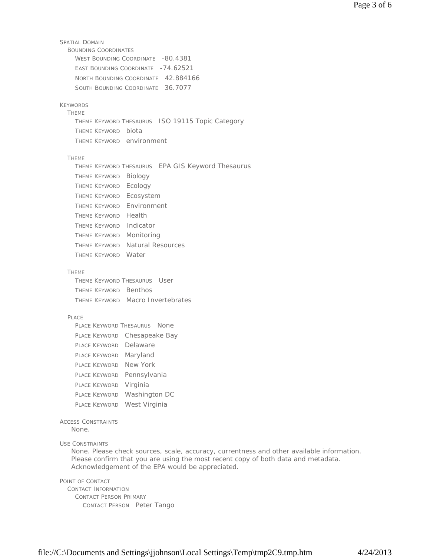```
SPATIAL DOMAIN 
  BOUNDING COORDINATES 
    WEST BOUNDING COORDINATE -80.4381
    EAST BOUNDING COORDINATE - 74.62521
    NORTH BOUNDING COORDINATE 42.884166 
    SOUTH BOUNDING COORDINATE 36.7077
KEYWORDS 
  THEME 
    THEME KEYWORD THESAURUS ISO 19115 Topic Category 
    THEME KEYWORD biota 
    THEME KEYWORD environment
  THEME 
    THEME KEYWORD THESAURUS EPA GIS Keyword Thesaurus 
    THEME KEYWORD Biology 
    THEME KEYWORD Ecology 
    THEME KEYWORD Ecosystem 
    THEME KEYWORD Environment 
    THEME KEYWORD Health 
    THEME KEYWORD Indicator 
    THEME KEYWORD Monitoring 
    THEME KEYWORD Natural Resources 
    THEME KEYWORD Water
  THEME
    THEME KEYWORD THESAURUS User 
    THEME KEYWORD Benthos 
    THEME KEYWORD Macro Invertebrates
  PLACE 
    PLACE KEYWORD THESAURUS None
    PLACE KEYWORD Chesapeake Bay 
    PLACE KEYWORD Delaware
    PLACE KEYWORD Maryland 
    PLACE KEYWORD New York 
    PLACE KEYWORD Pennsylvania
    PLACE KEYWORD Virginia 
    PLACE KEYWORD Washington DC
    PLACE KEYWORD West Virginia
ACCESS CONSTRAINTS
USE CONSTRAINTS
POINT OF CONTACT 
  CONTACT INFORMATION 
    CONTACT PERSON PRIMARY 
      CONTACT PERSON Peter Tango 
   None.
   None. Please check sources, scale, accuracy, currentness and other available information. 
   Please confirm that you are using the most recent copy of both data and metadata. 
   Acknowledgement of the EPA would be appreciated.
```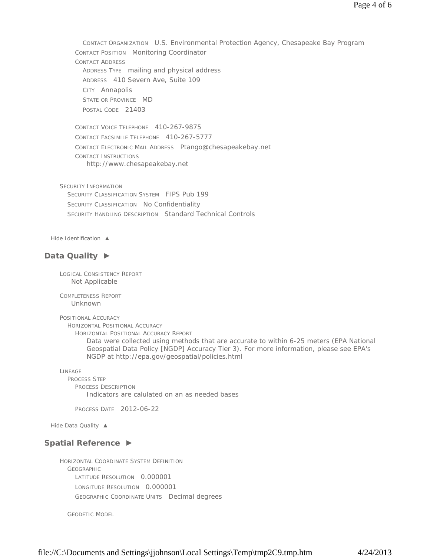CONTACT ORGANIZATION U.S. Environmental Protection Agency, Chesapeake Bay Program CONTACT POSITION Monitoring Coordinator CONTACT ADDRESS ADDRESS TYPE mailing and physical address ADDRESS 410 Severn Ave, Suite 109 CITY Annapolis STATE OR PROVINCE MD POSTAL CODE 21403

CONTACT VOICE TELEPHONE 410-267-9875 CONTACT FACSIMILE TELEPHONE 410-267-5777 CONTACT ELECTRONIC MAIL ADDRESS Ptango@chesapeakebay.net CONTACT INSTRUCTIONS http://www.chesapeakebay.net

SECURITY INFORMATION SECURITY CLASSIFICATION SYSTEM FIPS Pub 199 SECURITY CLASSIFICATION No Confidentiality SECURITY HANDLING DESCRIPTION Standard Technical Controls

*Hide Identification ▲*

## **Data Quality ►**

LOGICAL CONSISTENCY REPORT Not Applicable

COMPLETENESS REPORT Unknown

POSITIONAL ACCURACY HORIZONTAL POSITIONAL ACCURACY HORIZONTAL POSITIONAL ACCURACY REPORT Data were collected using methods that are accurate to within 6-25 meters (EPA National Geospatial Data Policy [NGDP] Accuracy Tier 3). For more information, please see EPA's NGDP at http://epa.gov/geospatial/policies.html

LINEAGE PROCESS STEP PROCESS DESCRIPTION Indicators are calulated on an as needed bases

PROCESS DATE 2012-06-22

*Hide Data Quality ▲*

## **Spatial Reference ►**

HORIZONTAL COORDINATE SYSTEM DEFINITION GEOGRAPHIC LATITUDE RESOLUTION 0.000001 LONGITUDE RESOLUTION 0.000001 GEOGRAPHIC COORDINATE UNITS Decimal degrees

GEODETIC MODEL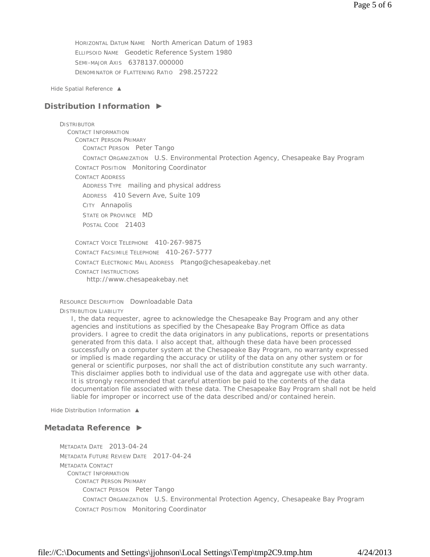HORIZONTAL DATUM NAME North American Datum of 1983 ELLIPSOID NAME Geodetic Reference System 1980 SEMI-MAJOR AXIS 6378137.000000 DENOMINATOR OF FLATTENING RATIO 298.257222

*Hide Spatial Reference ▲*

## **Distribution Information ►**

#### **DISTRIBUTOR**

CONTACT INFORMATION CONTACT PERSON PRIMARY CONTACT PERSON Peter Tango CONTACT ORGANIZATION U.S. Environmental Protection Agency, Chesapeake Bay Program CONTACT POSITION Monitoring Coordinator CONTACT ADDRESS ADDRESS TYPE mailing and physical address ADDRESS 410 Severn Ave, Suite 109 CITY Annapolis STATE OR PROVINCE MD POSTAL CODE 21403

CONTACT VOICE TELEPHONE 410-267-9875 CONTACT FACSIMILE TELEPHONE 410-267-5777 CONTACT ELECTRONIC MAIL ADDRESS Ptango@chesapeakebay.net CONTACT INSTRUCTIONS http://www.chesapeakebay.net

RESOURCE DESCRIPTION Downloadable Data DISTRIBUTION LIABILITY

I, the data requester, agree to acknowledge the Chesapeake Bay Program and any other agencies and institutions as specified by the Chesapeake Bay Program Office as data providers. I agree to credit the data originators in any publications, reports or presentations generated from this data. I also accept that, although these data have been processed successfully on a computer system at the Chesapeake Bay Program, no warranty expressed or implied is made regarding the accuracy or utility of the data on any other system or for general or scientific purposes, nor shall the act of distribution constitute any such warranty. This disclaimer applies both to individual use of the data and aggregate use with other data. It is strongly recommended that careful attention be paid to the contents of the data documentation file associated with these data. The Chesapeake Bay Program shall not be held liable for improper or incorrect use of the data described and/or contained herein.

*Hide Distribution Information ▲*

## **Metadata Reference ►**

METADATA DATE 2013-04-24 METADATA FUTURE REVIEW DATE 2017-04-24 METADATA CONTACT CONTACT INFORMATION CONTACT PERSON PRIMARY CONTACT PERSON Peter Tango CONTACT ORGANIZATION U.S. Environmental Protection Agency, Chesapeake Bay Program CONTACT POSITION Monitoring Coordinator